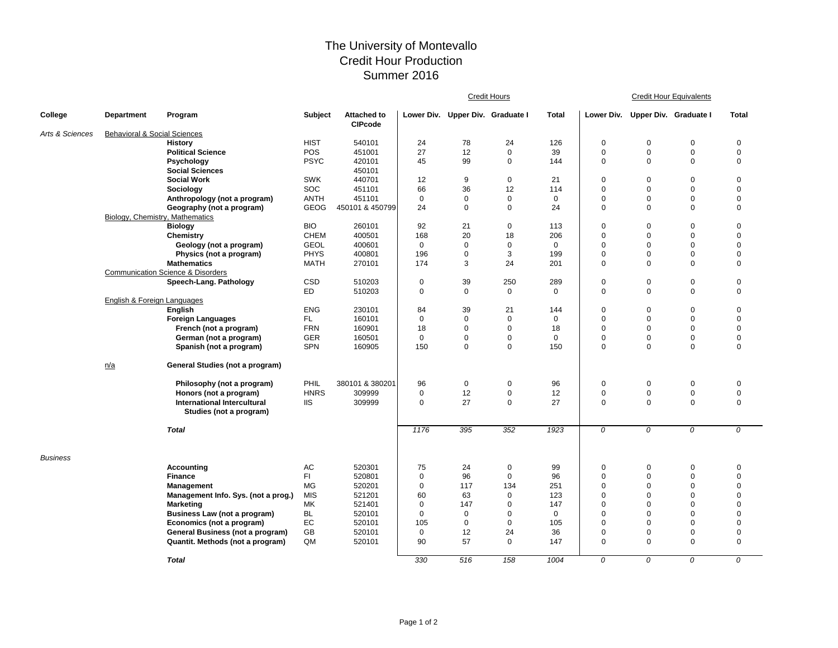## The University of Montevallo Credit Hour Production Summer 2016

|                 |                                         |                                              |             |                                      | <b>Credit Hours</b> |                                  |             |              | <b>Credit Hour Equivalents</b> |                                  |             |              |  |
|-----------------|-----------------------------------------|----------------------------------------------|-------------|--------------------------------------|---------------------|----------------------------------|-------------|--------------|--------------------------------|----------------------------------|-------------|--------------|--|
| College         | <b>Department</b>                       | Program                                      | Subject     | <b>Attached to</b><br><b>CIPcode</b> |                     | Lower Div. Upper Div. Graduate I |             | <b>Total</b> |                                | Lower Div. Upper Div. Graduate I |             | <b>Total</b> |  |
| Arts & Sciences | <b>Behavioral &amp; Social Sciences</b> |                                              |             |                                      |                     |                                  |             |              |                                |                                  |             |              |  |
|                 |                                         | <b>History</b>                               | <b>HIST</b> | 540101                               | 24                  | 78                               | 24          | 126          | $\mathbf 0$                    | $\mathbf 0$                      | $\mathbf 0$ | $\mathbf 0$  |  |
|                 |                                         | <b>Political Science</b>                     | POS         | 451001                               | 27                  | 12                               | $\mathbf 0$ | 39           | $\mathbf 0$                    | $\mathbf 0$                      | $\mathbf 0$ | $\mathbf 0$  |  |
|                 |                                         | Psychology                                   | <b>PSYC</b> | 420101                               | 45                  | 99                               | $\mathbf 0$ | 144          | $\mathbf 0$                    | $\mathbf 0$                      | $\mathbf 0$ | $\mathbf 0$  |  |
|                 |                                         | <b>Social Sciences</b>                       |             | 450101                               |                     |                                  |             |              |                                |                                  |             |              |  |
|                 |                                         | <b>Social Work</b>                           | <b>SWK</b>  | 440701                               | 12                  | 9                                | 0           | 21           | $\mathbf 0$                    | $\mathbf 0$                      | $\mathbf 0$ | $\mathbf 0$  |  |
|                 |                                         | Sociology                                    | <b>SOC</b>  | 451101                               | 66                  | 36                               | 12          | 114          | $\mathbf 0$                    | $\mathbf 0$                      | $\mathbf 0$ | $\mathbf 0$  |  |
|                 |                                         | Anthropology (not a program)                 | <b>ANTH</b> | 451101                               | $\mathbf 0$         | $\mathbf 0$                      | $\mathbf 0$ | $\mathbf 0$  | $\mathbf 0$                    | $\mathbf 0$                      | $\mathbf 0$ | $\pmb{0}$    |  |
|                 |                                         | Geography (not a program)                    | <b>GEOG</b> | 450101 & 450799                      | 24                  | $\mathbf 0$                      | $\mathbf 0$ | 24           | $\mathbf 0$                    | $\Omega$                         | $\mathbf 0$ | $\mathbf 0$  |  |
|                 | Biology, Chemistry, Mathematics         |                                              |             |                                      |                     |                                  |             |              |                                |                                  |             |              |  |
|                 |                                         | <b>Biology</b>                               | <b>BIO</b>  | 260101                               | 92                  | 21                               | 0           | 113          | $\pmb{0}$                      | 0                                | $\mathbf 0$ | $\mathbf 0$  |  |
|                 |                                         | Chemistry                                    | <b>CHEM</b> | 400501                               | 168                 | 20                               | 18          | 206          | $\mathbf 0$                    | $\Omega$                         | $\mathbf 0$ | $\mathbf 0$  |  |
|                 |                                         | Geology (not a program)                      | <b>GEOL</b> | 400601                               | $\mathbf 0$         | $\mathbf 0$                      | $\mathbf 0$ | $\Omega$     | $\mathbf 0$                    | $\Omega$                         | $\mathbf 0$ | $\mathbf 0$  |  |
|                 |                                         | Physics (not a program)                      | <b>PHYS</b> | 400801                               | 196                 | $\mathbf 0$                      | 3           | 199          | $\mathbf 0$                    | $\mathbf 0$                      | $\mathbf 0$ | $\mathbf 0$  |  |
|                 |                                         | <b>Mathematics</b>                           | <b>MATH</b> | 270101                               | 174                 | 3                                | 24          | 201          | $\mathbf 0$                    | $\mathbf 0$                      | $\mathbf 0$ | $\mathbf 0$  |  |
|                 |                                         | <b>Communication Science &amp; Disorders</b> |             |                                      |                     |                                  |             |              |                                |                                  |             |              |  |
|                 |                                         | Speech-Lang. Pathology                       | CSD         | 510203                               | $\mathbf 0$         | 39                               | 250         | 289          | $\mathbf 0$                    | $\mathbf 0$                      | $\mathbf 0$ | $\mathbf 0$  |  |
|                 |                                         |                                              | ED          | 510203                               | $\mathbf 0$         | $\mathbf 0$                      | $\mathbf 0$ | $\Omega$     | $\mathbf 0$                    | $\Omega$                         | $\mathbf 0$ | $\mathbf 0$  |  |
|                 | English & Foreign Languages             |                                              |             |                                      |                     |                                  |             |              |                                |                                  |             |              |  |
|                 |                                         | English                                      | <b>ENG</b>  | 230101                               | 84                  | 39                               | 21          | 144          | $\mathbf 0$                    | $\pmb{0}$                        | $\mathbf 0$ | $\mathbf 0$  |  |
|                 |                                         | Foreign Languages                            | FL.         | 160101                               | $\mathbf 0$         | $\mathbf 0$                      | $\mathbf 0$ | $\mathbf 0$  | $\mathbf 0$                    | $\mathbf 0$                      | $\mathbf 0$ | $\mathbf 0$  |  |
|                 |                                         | French (not a program)                       | <b>FRN</b>  | 160901                               | 18                  | $\mathbf 0$                      | $\Omega$    | 18           | $\mathbf 0$                    | $\Omega$                         | $\mathbf 0$ | $\mathbf 0$  |  |
|                 |                                         | German (not a program)                       | <b>GER</b>  | 160501                               | $\mathbf 0$         | $\mathbf 0$                      | $\mathbf 0$ | $\mathbf 0$  | $\mathbf 0$                    | $\mathbf 0$                      | $\mathbf 0$ | $\pmb{0}$    |  |
|                 |                                         | Spanish (not a program)                      | <b>SPN</b>  | 160905                               | 150                 | $\mathbf 0$                      | $\mathbf 0$ | 150          | $\mathbf 0$                    | $\Omega$                         | $\mathbf 0$ | $\mathbf 0$  |  |
|                 | n/a                                     | General Studies (not a program)              |             |                                      |                     |                                  |             |              |                                |                                  |             |              |  |
|                 |                                         | Philosophy (not a program)                   | PHIL        | 380101 & 380201                      | 96                  | $\mathbf 0$                      | 0           | 96           | $\mathbf 0$                    | 0                                | $\mathbf 0$ | $\mathbf 0$  |  |
|                 |                                         | Honors (not a program)                       | <b>HNRS</b> | 309999                               | $\mathbf 0$         | 12                               | $\pmb{0}$   | 12           | $\mathbf 0$                    | $\pmb{0}$                        | $\pmb{0}$   | $\mathbf 0$  |  |
|                 |                                         | International Intercultural                  | <b>IIS</b>  | 309999                               | $\mathbf 0$         | 27                               | $\mathbf 0$ | 27           | $\mathbf 0$                    | $\Omega$                         | $\mathbf 0$ | $\mathbf 0$  |  |
|                 |                                         | Studies (not a program)                      |             |                                      |                     |                                  |             |              |                                |                                  |             |              |  |
|                 |                                         | <b>Total</b>                                 |             |                                      | 1176                | 395                              | 352         | 1923         | 0                              | 0                                | 0           | 0            |  |
| <b>Business</b> |                                         |                                              |             |                                      |                     |                                  |             |              |                                |                                  |             |              |  |
|                 |                                         | <b>Accounting</b>                            | AC          | 520301                               | 75                  | 24                               | 0           | 99           | 0                              | 0                                | $\mathbf 0$ | 0            |  |
|                 |                                         | <b>Finance</b>                               | FI.         | 520801                               | $\mathbf 0$         | 96                               | $\mathbf 0$ | 96           | $\mathbf 0$                    | $\mathbf 0$                      | $\mathbf 0$ | $\mathbf 0$  |  |
|                 |                                         | <b>Management</b>                            | <b>MG</b>   | 520201                               | $\mathbf 0$         | 117                              | 134         | 251          | $\mathbf 0$                    | $\Omega$                         | $\mathbf 0$ | $\mathbf 0$  |  |
|                 |                                         | Management Info. Sys. (not a prog.)          | <b>MIS</b>  | 521201                               | 60                  | 63                               | $\mathbf 0$ | 123          | $\mathbf 0$                    | $\mathbf 0$                      | $\mathbf 0$ | $\pmb{0}$    |  |
|                 |                                         | <b>Marketing</b>                             | MK          | 521401                               | $\mathbf 0$         | 147                              | $\mathbf 0$ | 147          | $\mathbf 0$                    | $\mathbf 0$                      | $\mathbf 0$ | $\mathbf 0$  |  |
|                 |                                         | <b>Business Law (not a program)</b>          | <b>BL</b>   | 520101                               | $\mathbf 0$         | $\mathbf 0$                      | $\mathbf 0$ | 0            | $\mathbf 0$                    | 0                                | $\mathbf 0$ | $\mathbf 0$  |  |
|                 |                                         | Economics (not a program)                    | EC          | 520101                               | 105                 | $\mathbf 0$                      | $\mathbf 0$ | 105          | $\mathbf 0$                    | $\Omega$                         | $\mathbf 0$ | $\mathbf 0$  |  |
|                 |                                         | General Business (not a program)             | GB          | 520101                               | $\mathbf 0$         | 12                               | 24          | 36           | $\mathbf 0$                    | $\mathbf 0$                      | $\mathbf 0$ | $\mathbf 0$  |  |
|                 |                                         | Quantit. Methods (not a program)             | QM          | 520101                               | 90                  | 57                               | $\mathbf 0$ | 147          | $\mathbf 0$                    | $\Omega$                         | $\mathbf 0$ | $\mathbf 0$  |  |
|                 |                                         | <b>Total</b>                                 |             |                                      | 330                 | 516                              | 158         | 1004         | 0                              | 0                                | 0           | 0            |  |